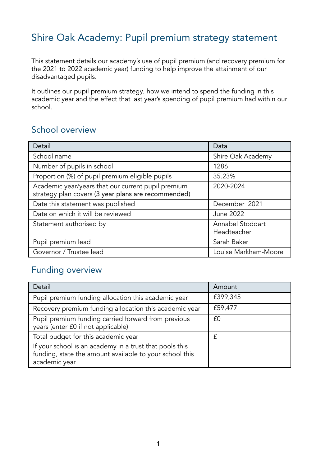# Shire Oak Academy: Pupil premium strategy statement

This statement details our academy's use of pupil premium (and recovery premium for the 2021 to 2022 academic year) funding to help improve the attainment of our disadvantaged pupils.

It outlines our pupil premium strategy, how we intend to spend the funding in this academic year and the effect that last year's spending of pupil premium had within our school.

### School overview

| Detail                                                                                                    | Data                            |
|-----------------------------------------------------------------------------------------------------------|---------------------------------|
| School name                                                                                               | Shire Oak Academy               |
| Number of pupils in school                                                                                | 1286                            |
| Proportion (%) of pupil premium eligible pupils                                                           | 35.23%                          |
| Academic year/years that our current pupil premium<br>strategy plan covers (3 year plans are recommended) | 2020-2024                       |
| Date this statement was published                                                                         | December 2021                   |
| Date on which it will be reviewed                                                                         | <b>June 2022</b>                |
| Statement authorised by                                                                                   | Annabel Stoddart<br>Headteacher |
| Pupil premium lead                                                                                        | Sarah Baker                     |
| Governor / Trustee lead                                                                                   | Louise Markham-Moore            |

### Funding overview

| Detail                                                                                                                              | Amount   |
|-------------------------------------------------------------------------------------------------------------------------------------|----------|
| Pupil premium funding allocation this academic year                                                                                 | £399,345 |
| Recovery premium funding allocation this academic year                                                                              | £59,477  |
| Pupil premium funding carried forward from previous<br>years (enter £0 if not applicable)                                           | £0       |
| Total budget for this academic year                                                                                                 | £        |
| If your school is an academy in a trust that pools this<br>funding, state the amount available to your school this<br>academic year |          |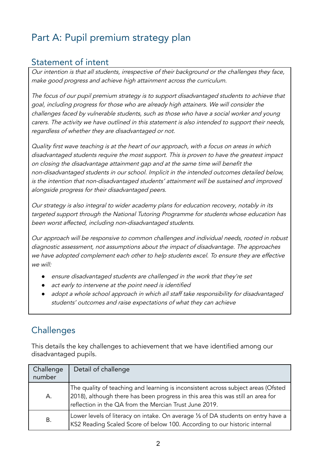# Part A: Pupil premium strategy plan

### Statement of intent

Our intention is that all students, irrespective of their background or the challenges they face, make good progress and achieve high attainment across the curriculum.

The focus of our pupil premium strategy is to support disadvantaged students to achieve that goal, including progress for those who are already high attainers. We will consider the challenges faced by vulnerable students, such as those who have <sup>a</sup> social worker and young carers. The activity we have outlined in this statement is also intended to support their needs, regardless of whether they are disadvantaged or not.

Quality first wave teaching is at the heart of our approach, with <sup>a</sup> focus on areas in which disadvantaged students require the most support. This is proven to have the greatest impact on closing the disadvantage attainment gap and at the same time will benefit the non-disadvantaged students in our school. Implicit in the intended outcomes detailed below, is the intention that non-disadvantaged students' attainment will be sustained and improved alongside progress for their disadvantaged peers.

Our strategy is also integral to wider academy plans for education recovery, notably in its targeted support through the National Tutoring Programme for students whose education has been worst affected, including non-disadvantaged students.

Our approach will be responsive to common challenges and individual needs, rooted in robust diagnostic assessment, not assumptions about the impact of disadvantage. The approaches we have adopted complement each other to help students excel. To ensure they are effective we will:

- *●* ensure disadvantaged students are challenged in the work that they're set
- *●* act early to intervene at the point need is identified
- *●* adopt <sup>a</sup> whole school approach in which all staff take responsibility for disadvantaged students' outcomes and raise expectations of what they can achieve

# **Challenges**

This details the key challenges to achievement that we have identified among our disadvantaged pupils.

| Challenge<br>number | Detail of challenge                                                                                                                                                                                                            |
|---------------------|--------------------------------------------------------------------------------------------------------------------------------------------------------------------------------------------------------------------------------|
| Α.                  | The quality of teaching and learning is inconsistent across subject areas (Ofsted<br>2018), although there has been progress in this area this was still an area for<br>reflection in the QA from the Mercian Trust June 2019. |
| Β.                  | Lower levels of literacy on intake. On average 1/3 of DA students on entry have a<br>KS2 Reading Scaled Score of below 100. According to our historic internal                                                                 |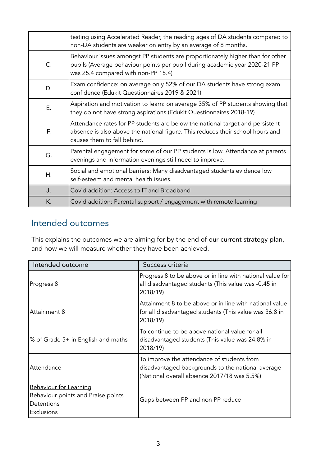|    | testing using Accelerated Reader, the reading ages of DA students compared to<br>non-DA students are weaker on entry by an average of 8 months.                                                     |
|----|-----------------------------------------------------------------------------------------------------------------------------------------------------------------------------------------------------|
| C. | Behaviour issues amongst PP students are proportionately higher than for other<br>pupils (Average behaviour points per pupil during academic year 2020-21 PP<br>was 25.4 compared with non-PP 15.4) |
| D. | Exam confidence: on average only 52% of our DA students have strong exam<br>confidence (Edukit Questionnaires 2019 & 2021)                                                                          |
| Ε. | Aspiration and motivation to learn: on average 35% of PP students showing that<br>they do not have strong aspirations (Edukit Questionnaires 2018-19)                                               |
| F. | Attendance rates for PP students are below the national target and persistent<br>absence is also above the national figure. This reduces their school hours and<br>causes them to fall behind.      |
| G. | Parental engagement for some of our PP students is low. Attendance at parents<br>evenings and information evenings still need to improve.                                                           |
| Η. | Social and emotional barriers: Many disadvantaged students evidence low<br>self-esteem and mental health issues.                                                                                    |
| J. | Covid addition: Access to IT and Broadband                                                                                                                                                          |
| K. | Covid addition: Parental support / engagement with remote learning                                                                                                                                  |

## Intended outcomes

This explains the outcomes we are aiming for by the end of our current strategy plan, and how we will measure whether they have been achieved.

| Intended outcome                                                                         | Success criteria                                                                                                                               |
|------------------------------------------------------------------------------------------|------------------------------------------------------------------------------------------------------------------------------------------------|
| Progress 8                                                                               | Progress 8 to be above or in line with national value for<br>all disadvantaged students (This value was -0.45 in<br>2018/19)                   |
| Attainment 8                                                                             | Attainment 8 to be above or in line with national value<br>for all disadvantaged students (This value was 36.8 in<br>2018/19)                  |
| % of Grade 5+ in English and maths                                                       | To continue to be above national value for all<br>disadvantaged students (This value was 24.8% in<br>2018/19)                                  |
| Attendance                                                                               | To improve the attendance of students from<br>disadvantaged backgrounds to the national average<br>(National overall absence 2017/18 was 5.5%) |
| Behaviour for Learning<br>Behaviour points and Praise points<br>Detentions<br>Exclusions | Gaps between PP and non PP reduce                                                                                                              |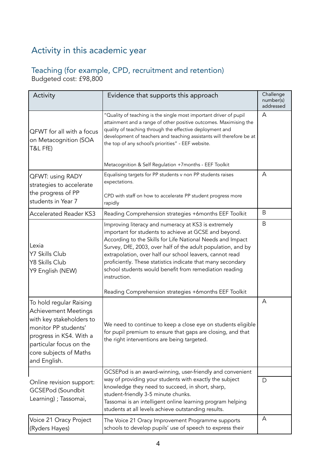# Activity in this academic year

#### Teaching (for example, CPD, recruitment and retention) Budgeted cost: £98,800

| Activity                                                                                                                                                                                                   | Evidence that supports this approach                                                                                                                                                                                                                                                                                                                                                                                                            | Challenge<br>number(s)<br>addressed |
|------------------------------------------------------------------------------------------------------------------------------------------------------------------------------------------------------------|-------------------------------------------------------------------------------------------------------------------------------------------------------------------------------------------------------------------------------------------------------------------------------------------------------------------------------------------------------------------------------------------------------------------------------------------------|-------------------------------------|
| QFWT for all with a focus<br>on Metacognition (SOA<br>T&L FfE)                                                                                                                                             | "Quality of teaching is the single most important driver of pupil<br>attainment and a range of other positive outcomes. Maximising the<br>quality of teaching through the effective deployment and<br>development of teachers and teaching assistants will therefore be at<br>the top of any school's priorities" - EEF website.                                                                                                                | Α                                   |
|                                                                                                                                                                                                            | Metacognition & Self Regulation +7months - EEF Toolkit                                                                                                                                                                                                                                                                                                                                                                                          |                                     |
| <b>QFWT: using RADY</b><br>strategies to accelerate<br>the progress of PP                                                                                                                                  | Equalising targets for PP students v non PP students raises<br>expectations.                                                                                                                                                                                                                                                                                                                                                                    | Α                                   |
| students in Year 7                                                                                                                                                                                         | CPD with staff on how to accelerate PP student progress more<br>rapidly                                                                                                                                                                                                                                                                                                                                                                         |                                     |
| <b>Accelerated Reader KS3</b>                                                                                                                                                                              | Reading Comprehension strategies +6months EEF Toolkit                                                                                                                                                                                                                                                                                                                                                                                           | B                                   |
| Lexia<br>Y7 Skills Club<br>Y8 Skills Club<br>Y9 English (NEW)                                                                                                                                              | Improving literacy and numeracy at KS3 is extremely<br>important for students to achieve at GCSE and beyond.<br>According to the Skills for Life National Needs and Impact<br>Survey, DfE, 2003, over half of the adult population, and by<br>extrapolation, over half our school leavers, cannot read<br>proficiently. These statistics indicate that many secondary<br>school students would benefit from remediation reading<br>instruction. | B                                   |
|                                                                                                                                                                                                            | Reading Comprehension strategies +6months EEF Toolkit                                                                                                                                                                                                                                                                                                                                                                                           |                                     |
| To hold regular Raising<br><b>Achievement Meetings</b><br>with key stakeholders to<br>monitor PP students'<br>progress in KS4. With a<br>particular focus on the<br>core subjects of Maths<br>and English. | We need to continue to keep a close eye on students eligible<br>for pupil premium to ensure that gaps are closing, and that<br>the right interventions are being targeted.                                                                                                                                                                                                                                                                      | Α                                   |
|                                                                                                                                                                                                            | GCSEPod is an award-winning, user-friendly and convenient                                                                                                                                                                                                                                                                                                                                                                                       |                                     |
| Online revision support:<br><b>GCSEPod (Soundbit</b><br>Learning) ; Tassomai,                                                                                                                              | way of providing your students with exactly the subject<br>knowledge they need to succeed, in short, sharp,<br>student-friendly 3-5 minute chunks.<br>Tassomai is an intelligent online learning program helping<br>students at all levels achieve outstanding results.                                                                                                                                                                         | D                                   |
| Voice 21 Oracy Project<br>(Ryders Hayes)                                                                                                                                                                   | The Voice 21 Oracy Improvement Programme supports<br>schools to develop pupils' use of speech to express their                                                                                                                                                                                                                                                                                                                                  | A                                   |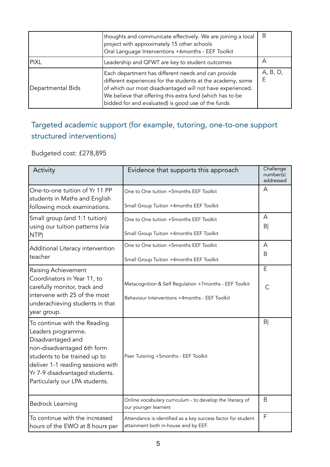|                   | thoughts and communicate effectively. We are joining a local<br>project with approximately 15 other schools<br>Oral Language Interventions +6months - EEF Toolkit                                                                                                                                   | B        |
|-------------------|-----------------------------------------------------------------------------------------------------------------------------------------------------------------------------------------------------------------------------------------------------------------------------------------------------|----------|
| <b>PIXL</b>       | Leadership and QFWT are key to student outcomes                                                                                                                                                                                                                                                     | А        |
| Departmental Bids | Each department has different needs and can provide<br>different experiences for the students at the academy, some<br>of which our most disadvantaged will not have experienced.<br>We believe that offering this extra fund (which has to be<br>bidded for and evaluated) is good use of the funds | A, B, D, |

## Targeted academic support (for example, tutoring, one-to-one support structured interventions)

### Budgeted cost: £278,895

| Activity                                                                                                                                                                                                                                       | Evidence that supports this approach                                                                     | Challenge<br>number(s)<br>addressed |
|------------------------------------------------------------------------------------------------------------------------------------------------------------------------------------------------------------------------------------------------|----------------------------------------------------------------------------------------------------------|-------------------------------------|
| One-to-one tuition of Yr 11 PP<br>students in Maths and English<br>following mock examinations.                                                                                                                                                | One to One tuition +5months EEF Toolkit<br>Small Group Tuition +4months EEF Toolkit                      | $\overline{A}$                      |
| Small group (and 1:1 tuition)<br>using our tuition patterns (via<br>NTP)                                                                                                                                                                       | One to One tuition +5months EEF Toolkit<br>Small Group Tuition +4months EEF Toolkit                      | A<br> B                             |
| Additional Literacy intervention<br>teacher                                                                                                                                                                                                    | One to One tuition +5months EEF Toolkit<br>Small Group Tuition +4months EEF Toolkit                      | A<br>B                              |
| Raising Achievement<br>Coordinators in Year 11, to<br>carefully monitor, track and<br>intervene with 25 of the most<br>underachieving students in that<br>year group.                                                                          | Metacognition & Self Regulation +7months - EEF Toolkit<br>Behaviour Interventions +4months - EEF Toolkit | E<br>$\mathsf{C}$                   |
| To continue with the Reading<br>Leaders programme.<br>Disadvantaged and<br>non-disadvantaged 6th form<br>students to be trained up to<br>deliver 1-1 reading sessions with<br>Yr 7-9 disadvantaged students.<br>Particularly our LPA students. | Peer Tutoring +5months - EEF Toolkit                                                                     | B <sub>l</sub>                      |
| <b>Bedrock Learning</b>                                                                                                                                                                                                                        | Online vocabulary curriculum - to develop the literacy of<br>our younger learners                        | B                                   |
| To continue with the increased<br>hours of the EWO at 8 hours per                                                                                                                                                                              | Attendance is identified as a key success factor for student<br>attainment both in-house and by EEF.     | $\mathsf F$                         |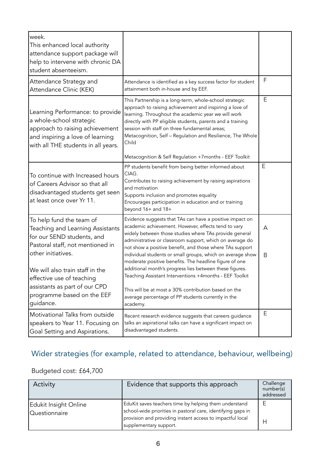| week.<br>This enhanced local authority<br>attendance support package will<br>help to intervene with chronic DA<br>student absenteeism.                                                                                                                                                           |                                                                                                                                                                                                                                                                                                                                                                                                                                                                                                                                                                                                                                                                           |        |
|--------------------------------------------------------------------------------------------------------------------------------------------------------------------------------------------------------------------------------------------------------------------------------------------------|---------------------------------------------------------------------------------------------------------------------------------------------------------------------------------------------------------------------------------------------------------------------------------------------------------------------------------------------------------------------------------------------------------------------------------------------------------------------------------------------------------------------------------------------------------------------------------------------------------------------------------------------------------------------------|--------|
| Attendance Strategy and<br>Attendance Clinic (KEK)                                                                                                                                                                                                                                               | Attendance is identified as a key success factor for student<br>attainment both in-house and by EEF.                                                                                                                                                                                                                                                                                                                                                                                                                                                                                                                                                                      | F      |
| Learning Performance: to provide<br>a whole-school strategic<br>approach to raising achievement<br>and inspiring a love of learning<br>with all THE students in all years.                                                                                                                       | This Partnership is a long-term, whole-school strategic<br>approach to raising achievement and inspiring a love of<br>learning. Throughout the academic year we will work<br>directly with PP eligible students, parents and a training<br>session with staff on three fundamental areas;<br>Metacognition, Self - Regulation and Resilience, The Whole<br>Child                                                                                                                                                                                                                                                                                                          | Ε      |
|                                                                                                                                                                                                                                                                                                  | Metacognition & Self Regulation +7months - EEF Toolkit                                                                                                                                                                                                                                                                                                                                                                                                                                                                                                                                                                                                                    |        |
| To continue with Increased hours<br>of Careers Advisor so that all<br>disadvantaged students get seen<br>at least once over Yr 11.                                                                                                                                                               | PP students benefit from being better informed about<br>CIAG.<br>Contributes to raising achievement by raising aspirations<br>and motivation<br>Supports inclusion and promotes equality<br>Encourages participation in education and or training<br>beyond 16+ and 18+                                                                                                                                                                                                                                                                                                                                                                                                   | E      |
| To help fund the team of<br>Teaching and Learning Assistants<br>for our SEND students, and<br>Pastoral staff, not mentioned in<br>other initiatives.<br>We will also train staff in the<br>effective use of teaching<br>assistants as part of our CPD<br>programme based on the EEF<br>quidance. | Evidence suggests that TAs can have a positive impact on<br>academic achievement. However, effects tend to vary<br>widely between those studies where TAs provide general<br>administrative or classroom support, which on average do<br>not show a positive benefit, and those where TAs support<br>individual students or small groups, which on average show<br>moderate positive benefits. The headline figure of one<br>additional month's progress lies between these figures.<br>Teaching Assistant Interventions +4months - EEF Toolkit<br>This will be at most a 30% contribution based on the<br>average percentage of PP students currently in the<br>academy. | A<br>B |
| Motivational Talks from outside<br>speakers to Year 11. Focusing on<br>Goal Setting and Aspirations.                                                                                                                                                                                             | Recent research evidence suggests that careers guidance<br>talks an aspirational talks can have a significant impact on<br>disadvantaged students.                                                                                                                                                                                                                                                                                                                                                                                                                                                                                                                        | Ε      |

## Wider strategies (for example, related to attendance, behaviour, wellbeing)

## Budgeted cost: £64,700

| Activity                                      | Evidence that supports this approach                                                                                                                                                                         | Challenge<br>number(s)<br>addressed |
|-----------------------------------------------|--------------------------------------------------------------------------------------------------------------------------------------------------------------------------------------------------------------|-------------------------------------|
| <b>Edukit Insight Online</b><br>Questionnaire | EduKit saves teachers time by helping them understand<br>school-wide priorities in pastoral care, identifying gaps in<br>provision and providing instant access to impactful local<br>supplementary support. |                                     |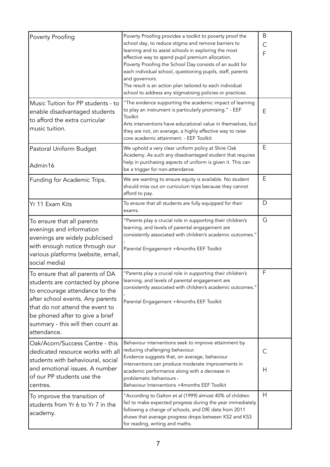| Poverty Proofing                                                                                                                                                                                                                                                    | Poverty Proofing provides a toolkit to poverty proof the<br>school day, to reduce stigma and remove barriers to<br>learning and to assist schools in exploring the most<br>effective way to spend pupil premium allocation.<br>Poverty Proofing the School Day consists of an audit for<br>each individual school, questioning pupils, staff, parents<br>and governors.<br>The result is an action plan tailored to each individual<br>school to address any stigmatising policies or practices. | Β<br>С<br>F |
|---------------------------------------------------------------------------------------------------------------------------------------------------------------------------------------------------------------------------------------------------------------------|--------------------------------------------------------------------------------------------------------------------------------------------------------------------------------------------------------------------------------------------------------------------------------------------------------------------------------------------------------------------------------------------------------------------------------------------------------------------------------------------------|-------------|
| Music Tuition for PP students - to<br>enable disadvantaged students<br>to afford the extra curricular<br>music tuition.                                                                                                                                             | "The evidence supporting the academic impact of learning<br>to play an instrument is particularly promising." - EEF<br>Toolkit<br>Arts interventions have educational value in themselves, but<br>they are not, on average, a highly effective way to raise<br>core academic attainment. - EEF Toolkit                                                                                                                                                                                           | Ε           |
| Pastoral Uniform Budget<br>Admin16                                                                                                                                                                                                                                  | We uphold a very clear uniform policy at Shire Oak<br>Academy. As such any disadvantaged student that requires<br>help in purchasing aspects of uniform is given it. This can<br>be a trigger for non-attendance.                                                                                                                                                                                                                                                                                | Ε           |
| Funding for Academic Trips.                                                                                                                                                                                                                                         | We are wanting to ensure equity is available. No student<br>should miss out on curriculum trips because they cannot<br>afford to pay.                                                                                                                                                                                                                                                                                                                                                            | Ε           |
| Yr 11 Exam Kits                                                                                                                                                                                                                                                     | To ensure that all students are fully equipped for their<br>exams.                                                                                                                                                                                                                                                                                                                                                                                                                               | D           |
| To ensure that all parents<br>evenings and information<br>evenings are widely publicised<br>with enough notice through our<br>various platforms (website, email,<br>social media)                                                                                   | "Parents play a crucial role in supporting their children's<br>learning, and levels of parental engagement are<br>consistently associated with children's academic outcomes."<br>Parental Engagement +4months EEF Toolkit                                                                                                                                                                                                                                                                        | G           |
| To ensure that all parents of DA<br>students are contacted by phone<br>to encourage attendance to the<br>after school events. Any parents<br>that do not attend the event to<br>be phoned after to give a brief<br>summary - this will then count as<br>attendance. | "Parents play a crucial role in supporting their children's<br>learning, and levels of parental engagement are<br>consistently associated with children's academic outcomes."<br>Parental Engagement +4months EEF Toolkit                                                                                                                                                                                                                                                                        | F           |
| Oak/Acorn/Success Centre - this<br>dedicated resource works with all<br>students with behavioural, social<br>and emotional issues. A number<br>of our PP students use the<br>centres.                                                                               | Behaviour interventions seek to improve attainment by<br>reducing challenging behaviour.<br>Evidence suggests that, on average, behaviour<br>interventions can produce moderate improvements in<br>academic performance along with a decrease in<br>problematic behaviours -<br>Behaviour Interventions +4months EEF Toolkit                                                                                                                                                                     | С<br>Н      |
| To improve the transition of<br>students from Yr 6 to Yr 7 in the<br>academy.                                                                                                                                                                                       | "According to Galton et al (1999) almost 40% of children<br>fail to make expected progress during the year immediately<br>following a change of schools, and DfE data from 2011<br>shows that average progress drops between KS2 and KS3<br>for reading, writing and maths.                                                                                                                                                                                                                      | H           |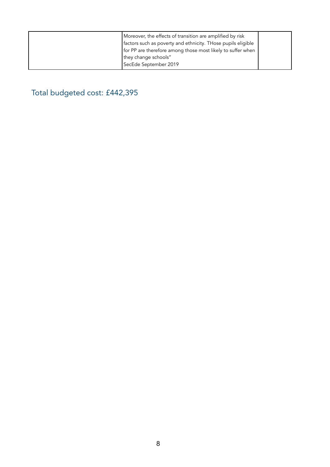| Moreover, the effects of transition are amplified by risk<br>factors such as poverty and ethnicity. Those pupils eligible<br>for PP are therefore among those most likely to suffer when |  |
|------------------------------------------------------------------------------------------------------------------------------------------------------------------------------------------|--|
| they change schools"                                                                                                                                                                     |  |
| SecEde September 2019                                                                                                                                                                    |  |

Total budgeted cost: £442,395